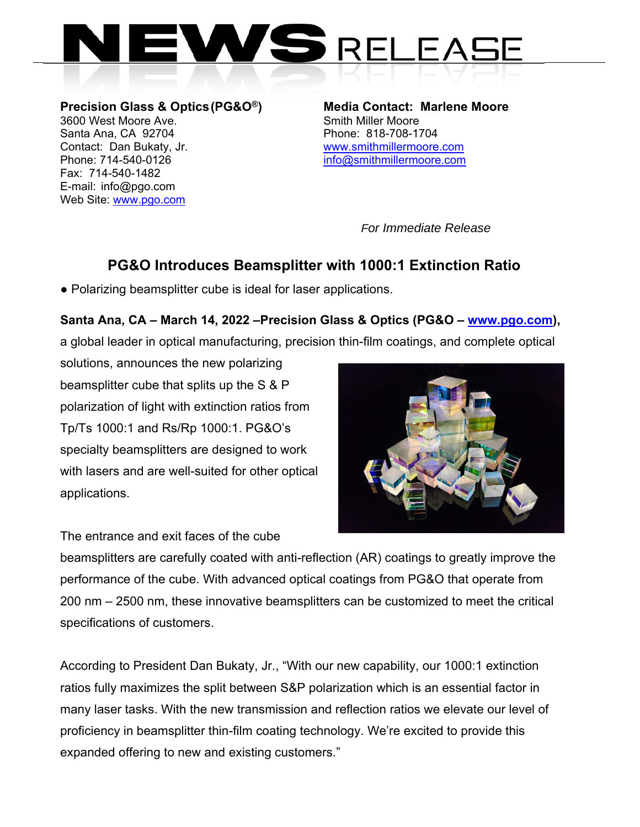

**Precision Glass & Optics (PG&O®)** Media Contact: Marlene Moore 3600 West Moore **Ave.** Smith Miller Moore 3600 West Moore Ave. Santa Ana, CA 92704 Phone: 818-708-1704 Contact: Dan Bukaty, Jr. www.smithmillermoore.com Phone: 714-540-0126 info@smithmillermoore.com Fax: 714-540-1482 E-mail: info@pgo.com Web Site: www.pgo.com

*For Immediate Release*

## **PG&O Introduces Beamsplitter with 1000:1 Extinction Ratio**

• Polarizing beamsplitter cube is ideal for laser applications.

## **Santa Ana, CA – March 14, 2022 –Precision Glass & Optics (PG&O – www.pgo.com),**

a global leader in optical manufacturing, precision thin-film coatings, and complete optical

solutions, announces the new polarizing beamsplitter cube that splits up the S & P polarization of light with extinction ratios from Tp/Ts 1000:1 and Rs/Rp 1000:1. PG&O's specialty beamsplitters are designed to work with lasers and are well-suited for other optical applications.



The entrance and exit faces of the cube

beamsplitters are carefully coated with anti-reflection (AR) coatings to greatly improve the performance of the cube. With advanced optical coatings from PG&O that operate from 200 nm – 2500 nm, these innovative beamsplitters can be customized to meet the critical specifications of customers.

According to President Dan Bukaty, Jr., "With our new capability, our 1000:1 extinction ratios fully maximizes the split between S&P polarization which is an essential factor in many laser tasks. With the new transmission and reflection ratios we elevate our level of proficiency in beamsplitter thin-film coating technology. We're excited to provide this expanded offering to new and existing customers."